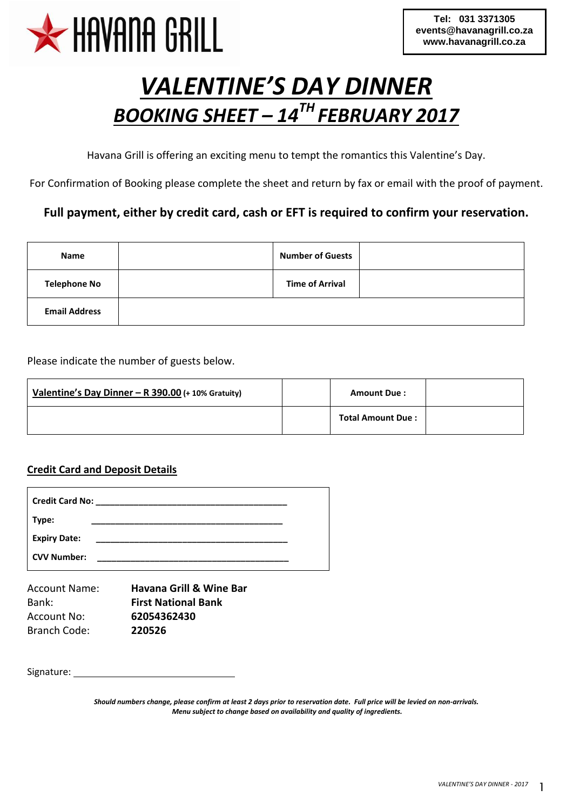

# *VALENTINE'S DAY DINNER BOOKING SHEET – 14TH FEBRUARY 2017*

Havana Grill is offering an exciting menu to tempt the romantics this Valentine's Day.

For Confirmation of Booking please complete the sheet and return by fax or email with the proof of payment.

#### **Full payment, either by credit card, cash or EFT is required to confirm your reservation.**

| Name                 | <b>Number of Guests</b> |  |
|----------------------|-------------------------|--|
| <b>Telephone No</b>  | <b>Time of Arrival</b>  |  |
| <b>Email Address</b> |                         |  |

Please indicate the number of guests below.

| Valentine's Day Dinner - R 390.00 (+ 10% Gratuity) | <b>Amount Due:</b>       |  |
|----------------------------------------------------|--------------------------|--|
|                                                    | <b>Total Amount Due:</b> |  |

#### **Credit Card and Deposit Details**

| Credit Card No:     |  |
|---------------------|--|
| Type:               |  |
| <b>Expiry Date:</b> |  |
| <b>CVV Number:</b>  |  |

| Account Name: | <b>Havana Grill &amp; Wine Bar</b> |
|---------------|------------------------------------|
| Bank:         | <b>First National Bank</b>         |
| Account No:   | 62054362430                        |
| Branch Code:  | 220526                             |

Signature:

*Should numbers change, please confirm at least 2 days prior to reservation date. Full price will be levied on non-arrivals. Menu subject to change based on availability and quality of ingredients.*